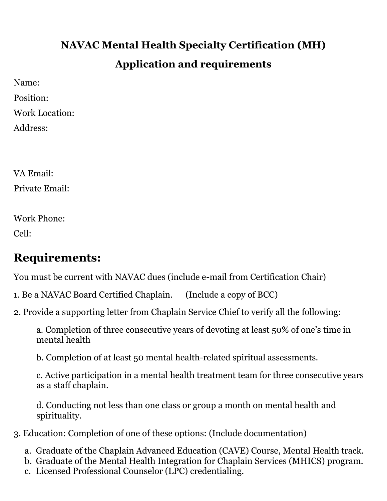# **NAVAC Mental Health Specialty Certification (MH) Application and requirements**

Name:

Position:

Work Location:

Address:

VA Email: Private Email:

Work Phone:

Cell:

### **Requirements:**

You must be current with NAVAC dues (include e-mail from Certification Chair)

- 1. Be a NAVAC Board Certified Chaplain. (Include a copy of BCC)
- 2. Provide a supporting letter from Chaplain Service Chief to verify all the following:

a. Completion of three consecutive years of devoting at least 50% of one's time in mental health

b. Completion of at least 50 mental health-related spiritual assessments.

c. Active participation in a mental health treatment team for three consecutive years as a staff chaplain.

d. Conducting not less than one class or group a month on mental health and spirituality.

- 3. Education: Completion of one of these options: (Include documentation)
	- a. Graduate of the Chaplain Advanced Education (CAVE) Course, Mental Health track.
	- b. Graduate of the Mental Health Integration for Chaplain Services (MHICS) program.
	- c. Licensed Professional Counselor (LPC) credentialing.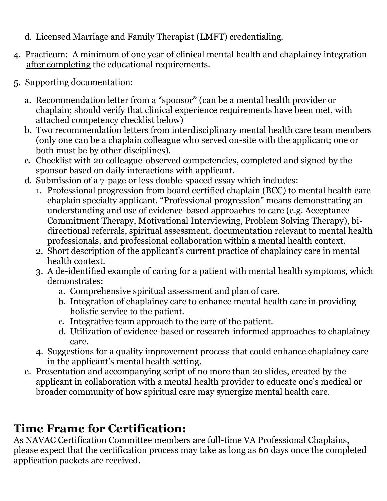- d. Licensed Marriage and Family Therapist (LMFT) credentialing.
- 4. Practicum: A minimum of one year of clinical mental health and chaplaincy integration after completing the educational requirements.
- 5. Supporting documentation:
	- a. Recommendation letter from a "sponsor" (can be a mental health provider or chaplain; should verify that clinical experience requirements have been met, with attached competency checklist below)
	- b. Two recommendation letters from interdisciplinary mental health care team members (only one can be a chaplain colleague who served on-site with the applicant; one or both must be by other disciplines).
	- c. Checklist with 20 colleague-observed competencies, completed and signed by the sponsor based on daily interactions with applicant.
	- d. Submission of a 7-page or less double-spaced essay which includes:
		- 1. Professional progression from board certified chaplain (BCC) to mental health care chaplain specialty applicant. "Professional progression" means demonstrating an understanding and use of evidence-based approaches to care (e.g. Acceptance Commitment Therapy, Motivational Interviewing, Problem Solving Therapy), bidirectional referrals, spiritual assessment, documentation relevant to mental health professionals, and professional collaboration within a mental health context.
		- 2. Short description of the applicant's current practice of chaplaincy care in mental health context.
		- 3. A de-identified example of caring for a patient with mental health symptoms, which demonstrates:
			- a. Comprehensive spiritual assessment and plan of care.
			- b. Integration of chaplaincy care to enhance mental health care in providing holistic service to the patient.
			- c. Integrative team approach to the care of the patient.
			- d. Utilization of evidence-based or research-informed approaches to chaplaincy care.
		- 4. Suggestions for a quality improvement process that could enhance chaplaincy care in the applicant's mental health setting.
	- e. Presentation and accompanying script of no more than 20 slides, created by the applicant in collaboration with a mental health provider to educate one's medical or broader community of how spiritual care may synergize mental health care.

## **Time Frame for Certification:**

As NAVAC Certification Committee members are full-time VA Professional Chaplains, please expect that the certification process may take as long as 60 days once the completed application packets are received.